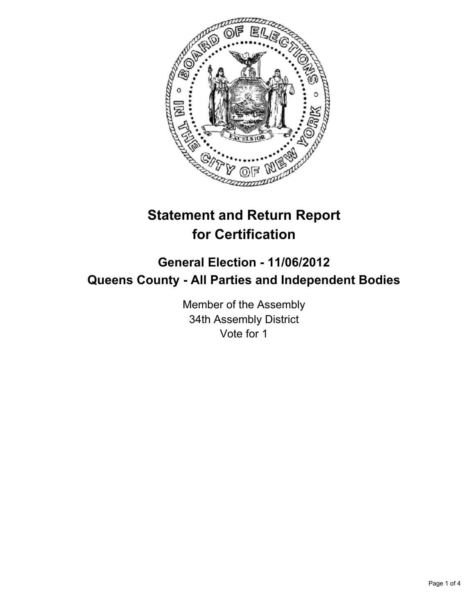

# **Statement and Return Report for Certification**

## **General Election - 11/06/2012 Queens County - All Parties and Independent Bodies**

Member of the Assembly 34th Assembly District Vote for 1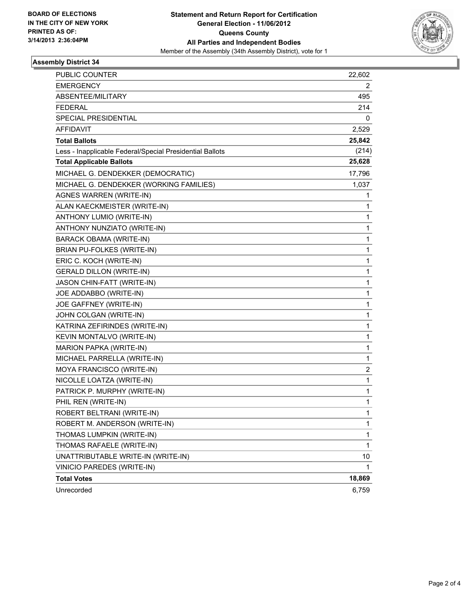

#### **Assembly District 34**

| <b>PUBLIC COUNTER</b>                                    | 22,602       |
|----------------------------------------------------------|--------------|
| <b>EMERGENCY</b>                                         | 2            |
| ABSENTEE/MILITARY                                        | 495          |
| <b>FEDERAL</b>                                           | 214          |
| <b>SPECIAL PRESIDENTIAL</b>                              | 0            |
| AFFIDAVIT                                                | 2,529        |
| <b>Total Ballots</b>                                     | 25,842       |
| Less - Inapplicable Federal/Special Presidential Ballots | (214)        |
| <b>Total Applicable Ballots</b>                          | 25,628       |
| MICHAEL G. DENDEKKER (DEMOCRATIC)                        | 17,796       |
| MICHAEL G. DENDEKKER (WORKING FAMILIES)                  | 1,037        |
| AGNES WARREN (WRITE-IN)                                  | 1            |
| ALAN KAECKMEISTER (WRITE-IN)                             | 1            |
| ANTHONY LUMIO (WRITE-IN)                                 | 1            |
| ANTHONY NUNZIATO (WRITE-IN)                              | 1            |
| <b>BARACK OBAMA (WRITE-IN)</b>                           | 1            |
| BRIAN PU-FOLKES (WRITE-IN)                               | 1            |
| ERIC C. KOCH (WRITE-IN)                                  | 1            |
| <b>GERALD DILLON (WRITE-IN)</b>                          | 1            |
| JASON CHIN-FATT (WRITE-IN)                               | 1            |
| JOE ADDABBO (WRITE-IN)                                   | 1            |
| JOE GAFFNEY (WRITE-IN)                                   | 1            |
| JOHN COLGAN (WRITE-IN)                                   | 1            |
| KATRINA ZEFIRINDES (WRITE-IN)                            | 1            |
| KEVIN MONTALVO (WRITE-IN)                                | 1            |
| MARION PAPKA (WRITE-IN)                                  | 1            |
| MICHAEL PARRELLA (WRITE-IN)                              | 1            |
| MOYA FRANCISCO (WRITE-IN)                                | 2            |
| NICOLLE LOATZA (WRITE-IN)                                | 1            |
| PATRICK P. MURPHY (WRITE-IN)                             | 1            |
| PHIL REN (WRITE-IN)                                      | 1            |
| ROBERT BELTRANI (WRITE-IN)                               | 1            |
| ROBERT M. ANDERSON (WRITE-IN)                            | 1            |
| THOMAS LUMPKIN (WRITE-IN)                                | $\mathbf{1}$ |
| THOMAS RAFAELE (WRITE-IN)                                | 1            |
| UNATTRIBUTABLE WRITE-IN (WRITE-IN)                       | 10           |
| VINICIO PAREDES (WRITE-IN)                               | 1            |
| <b>Total Votes</b>                                       | 18,869       |
| Unrecorded                                               | 6,759        |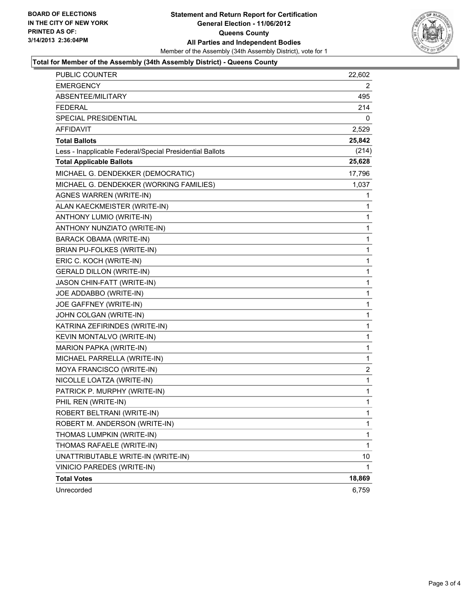

#### **Total for Member of the Assembly (34th Assembly District) - Queens County**

| PUBLIC COUNTER                                           | 22,602       |
|----------------------------------------------------------|--------------|
| <b>EMERGENCY</b>                                         | 2            |
| ABSENTEE/MILITARY                                        | 495          |
| <b>FEDERAL</b>                                           | 214          |
| SPECIAL PRESIDENTIAL                                     | 0            |
| <b>AFFIDAVIT</b>                                         | 2,529        |
| <b>Total Ballots</b>                                     | 25,842       |
| Less - Inapplicable Federal/Special Presidential Ballots | (214)        |
| <b>Total Applicable Ballots</b>                          | 25,628       |
| MICHAEL G. DENDEKKER (DEMOCRATIC)                        | 17,796       |
| MICHAEL G. DENDEKKER (WORKING FAMILIES)                  | 1,037        |
| AGNES WARREN (WRITE-IN)                                  | 1            |
| ALAN KAECKMEISTER (WRITE-IN)                             | 1            |
| ANTHONY LUMIO (WRITE-IN)                                 | 1            |
| ANTHONY NUNZIATO (WRITE-IN)                              | 1            |
| <b>BARACK OBAMA (WRITE-IN)</b>                           | 1            |
| BRIAN PU-FOLKES (WRITE-IN)                               | 1            |
| ERIC C. KOCH (WRITE-IN)                                  | 1            |
| <b>GERALD DILLON (WRITE-IN)</b>                          | 1            |
| JASON CHIN-FATT (WRITE-IN)                               | 1            |
| JOE ADDABBO (WRITE-IN)                                   | 1            |
| JOE GAFFNEY (WRITE-IN)                                   | 1            |
| JOHN COLGAN (WRITE-IN)                                   | 1            |
| KATRINA ZEFIRINDES (WRITE-IN)                            | 1            |
| KEVIN MONTALVO (WRITE-IN)                                | 1            |
| MARION PAPKA (WRITE-IN)                                  | 1            |
| MICHAEL PARRELLA (WRITE-IN)                              | 1            |
| MOYA FRANCISCO (WRITE-IN)                                | 2            |
| NICOLLE LOATZA (WRITE-IN)                                | 1            |
| PATRICK P. MURPHY (WRITE-IN)                             | 1            |
| PHIL REN (WRITE-IN)                                      | 1            |
| ROBERT BELTRANI (WRITE-IN)                               | $\mathbf{1}$ |
| ROBERT M. ANDERSON (WRITE-IN)                            | 1            |
| THOMAS LUMPKIN (WRITE-IN)                                | 1            |
| THOMAS RAFAELE (WRITE-IN)                                | 1            |
| UNATTRIBUTABLE WRITE-IN (WRITE-IN)                       | 10           |
| VINICIO PAREDES (WRITE-IN)                               | 1            |
| <b>Total Votes</b>                                       | 18,869       |
| Unrecorded                                               | 6,759        |